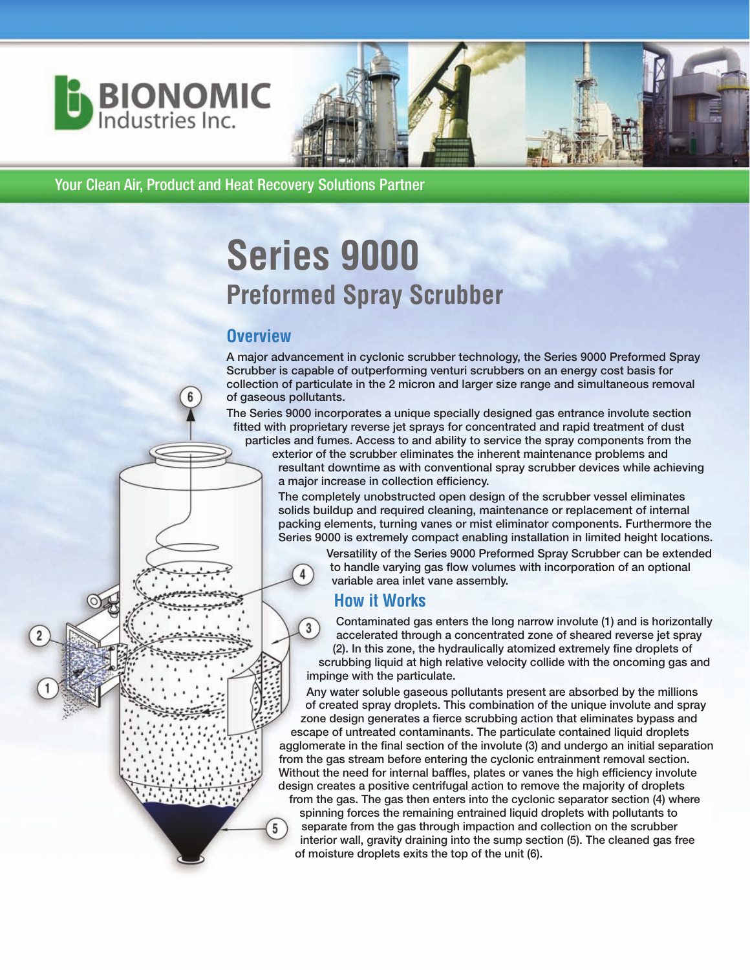

Your Clean Air, Product and Heat Recovery Solutions Partner

# **Series 9000 Preformed Spray Scrubber**

# **Overview**

**A major advancement in cyclonic scrubber technology, the Series 9000 Preformed Spray Scrubber is capable of outperforming venturi scrubbers on an energy cost basis for collection of particulate in the 2 micron and larger size range and simultaneous removal of gaseous pollutants.**

**The Series 9000 incorporates a unique specially designed gas entrance involute section fitted with proprietary reverse jet sprays for concentrated and rapid treatment of dust**

**particles and fumes. Access to and ability to service the spray components from the exterior of the scrubber eliminates the inherent maintenance problems and resultant downtime as with conventional spray scrubber devices while achieving a major increase in collection efficiency.**

**The completely unobstructed open design of the scrubber vessel eliminates solids buildup and required cleaning, maintenance or replacement of internal packing elements, turning vanes or mist eliminator components. Furthermore the Series 9000 is extremely compact enabling installation in limited height locations.**

**Versatility of the Series 9000 Preformed Spray Scrubber can be extended to handle varying gas flow volumes with incorporation of an optional variable area inlet vane assembly.**

# **How it Works**

 $\overline{4}$ 

 $5<sup>1</sup>$ 

**Contaminated gas enters the long narrow involute (1) and is horizontally**  $3<sup>1</sup>$ **accelerated through a concentrated zone of sheared reverse jet spray (2). In this zone, the hydraulically atomized extremely fine droplets of scrubbing liquid at high relative velocity collide with the oncoming gas and impinge with the particulate.** 

**Any water soluble gaseous pollutants present are absorbed by the millions of created spray droplets. This combination of the unique involute and spray zone design generates a fierce scrubbing action that eliminates bypass and escape of untreated contaminants. The particulate contained liquid droplets**

**agglomerate in the final section of the involute (3) and undergo an initial separation from the gas stream before entering the cyclonic entrainment removal section. Without the need for internal baffles, plates or vanes the high efficiency involute design creates a positive centrifugal action to remove the majority of droplets from the gas. The gas then enters into the cyclonic separator section (4) where**

**spinning forces the remaining entrained liquid droplets with pollutants to separate from the gas through impaction and collection on the scrubber interior wall, gravity draining into the sump section (5). The cleaned gas free of moisture droplets exits the top of the unit (6).**